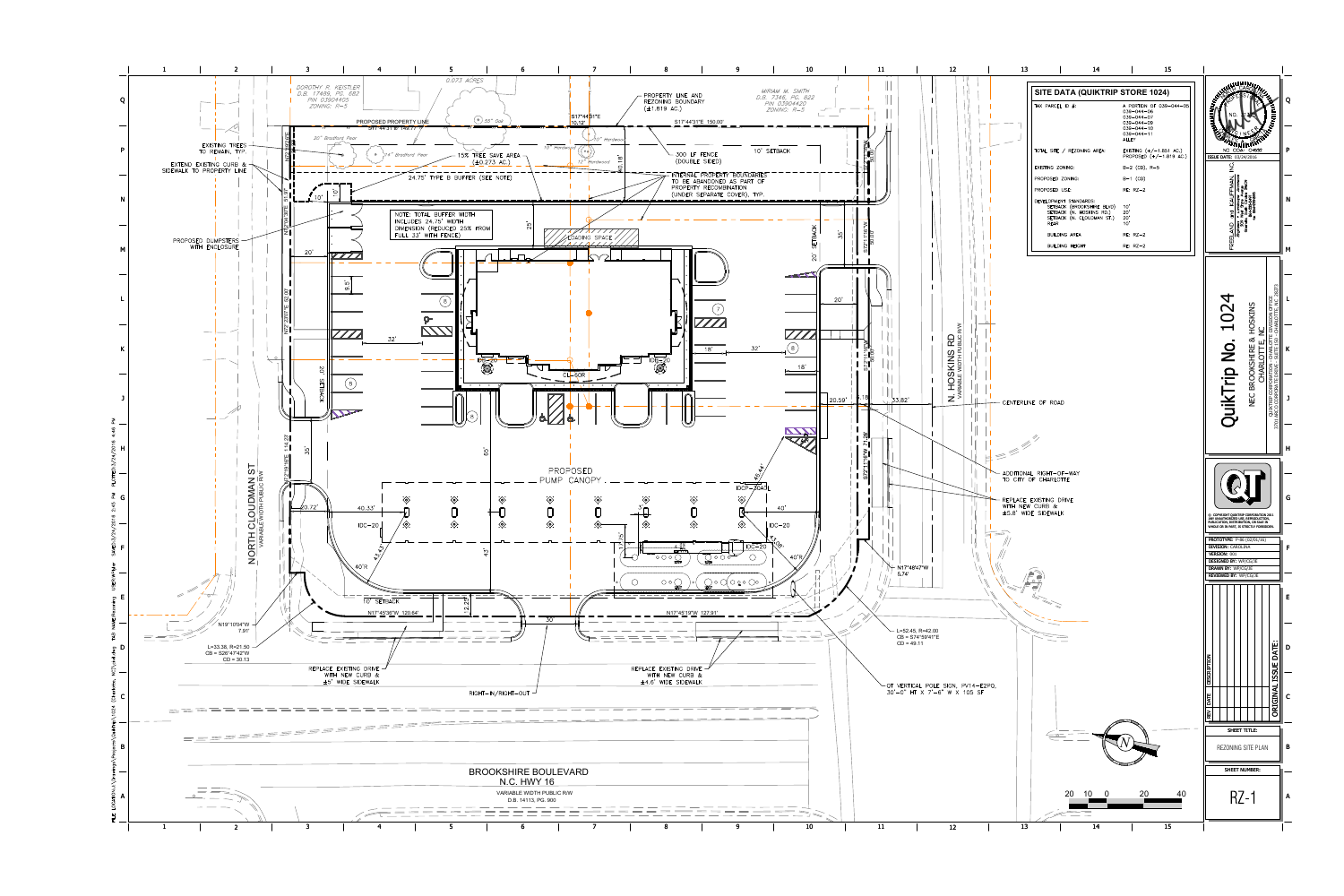